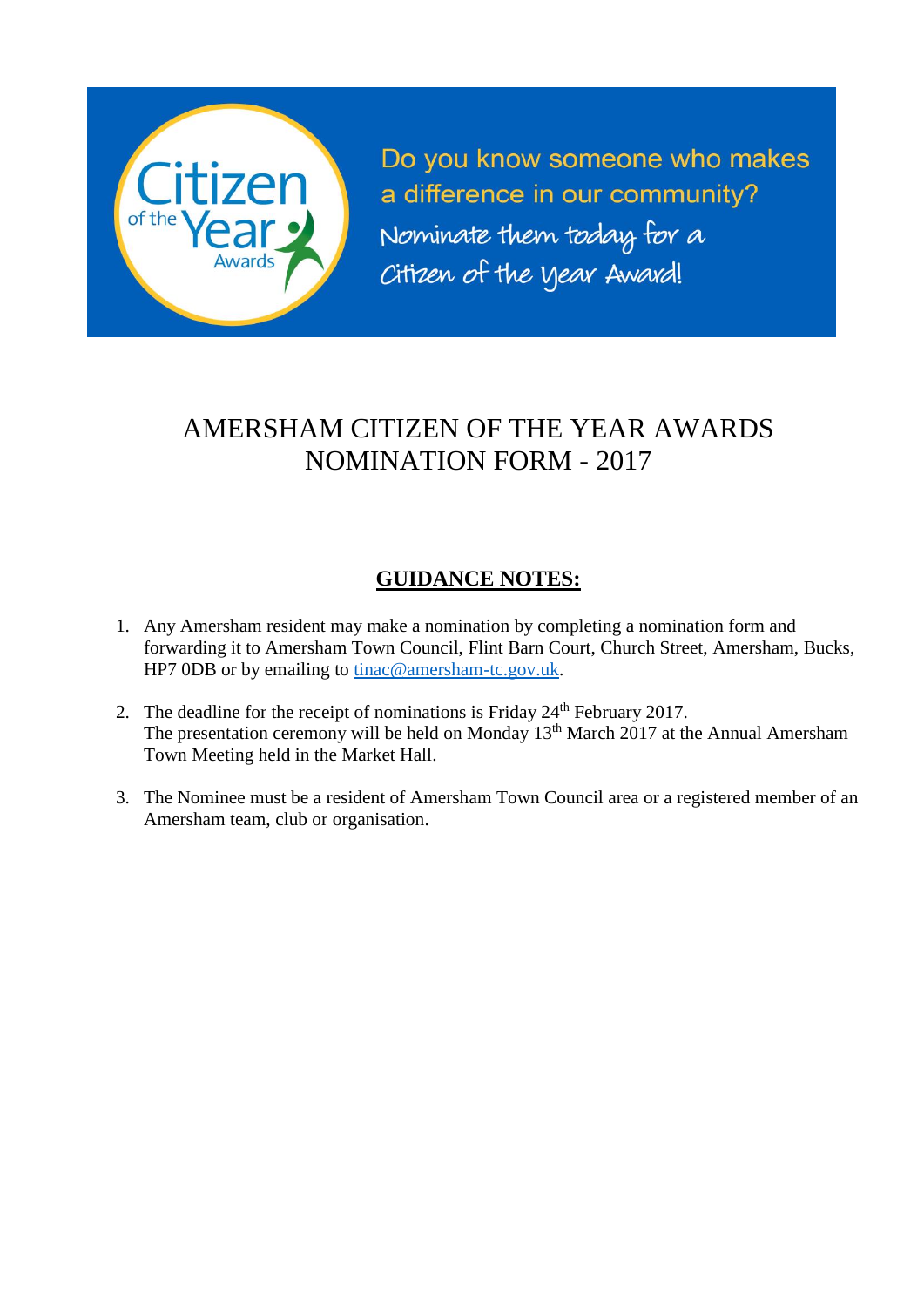

Do you know someone who makes a difference in our community? Nominate them today for a Citizen of the year Award!

# AMERSHAM CITIZEN OF THE YEAR AWARDS NOMINATION FORM - 2017

### **GUIDANCE NOTES:**

- 1. Any Amersham resident may make a nomination by completing a nomination form and forwarding it to Amersham Town Council, Flint Barn Court, Church Street, Amersham, Bucks, HP7 0DB or by emailing to [tinac@amersham-tc.gov.uk.](mailto:tinac@amersham-tc.gov.uk)
- 2. The deadline for the receipt of nominations is Friday  $24<sup>th</sup>$  February 2017. The presentation ceremony will be held on Monday 13th March 2017 at the Annual Amersham Town Meeting held in the Market Hall.
- 3. The Nominee must be a resident of Amersham Town Council area or a registered member of an Amersham team, club or organisation.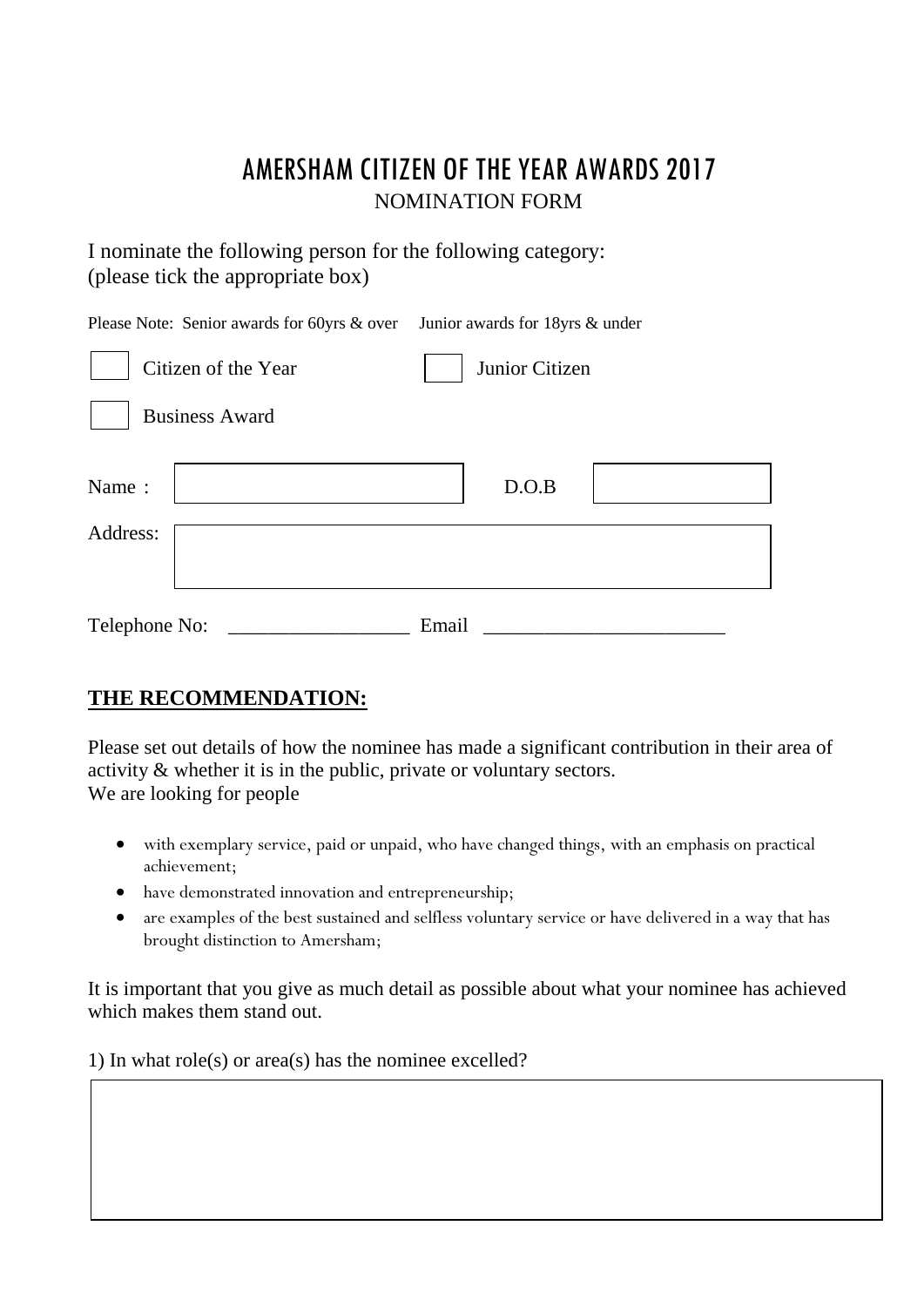## AMERSHAM CITIZEN OF THE YEAR AWARDS 2017 NOMINATION FORM

I nominate the following person for the following category: (please tick the appropriate box)

| Please Note: Senior awards for 60yrs & over | Junior awards for 18yrs & under |
|---------------------------------------------|---------------------------------|
| Citizen of the Year                         | Junior Citizen                  |
| <b>Business Award</b>                       |                                 |
| Name:                                       | D.O.B                           |
| Address:                                    |                                 |
| Telephone No:                               | Email                           |

#### **THE RECOMMENDATION:**

Please set out details of how the nominee has made a significant contribution in their area of activity & whether it is in the public, private or voluntary sectors. We are looking for people

- with exemplary service, paid or unpaid, who have changed things, with an emphasis on practical achievement;
- have demonstrated innovation and entrepreneurship;
- are examples of the best sustained and selfless voluntary service or have delivered in a way that has brought distinction to Amersham;

It is important that you give as much detail as possible about what your nominee has achieved which makes them stand out.

1) In what role(s) or area(s) has the nominee excelled?